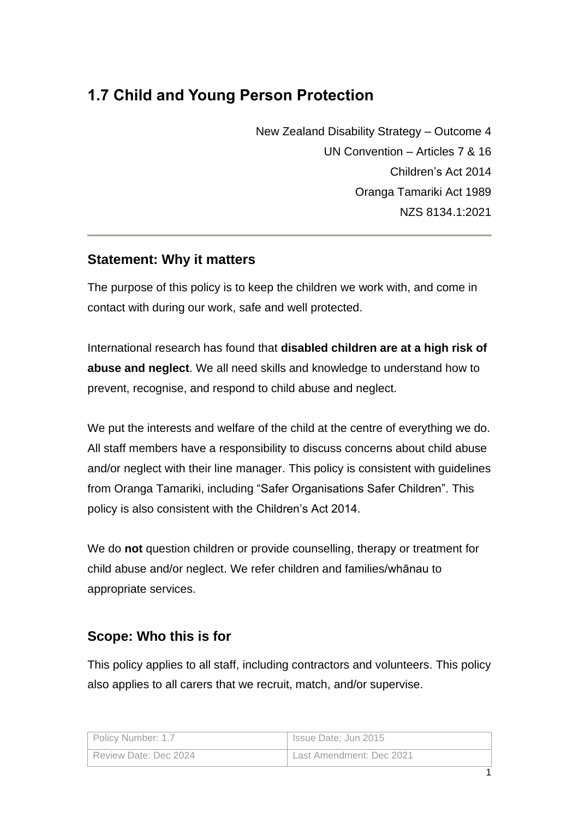# **1.7 Child and Young Person Protection**

New Zealand Disability Strategy – Outcome 4 UN Convention – Articles 7 & 16 Children's Act 2014 Oranga Tamariki Act 1989 NZS 8134.1:2021

## **Statement: Why it matters**

The purpose of this policy is to keep the children we work with, and come in contact with during our work, safe and well protected.

International research has found that **disabled children are at a high risk of abuse and neglect**. We all need skills and knowledge to understand how to prevent, recognise, and respond to child abuse and neglect.

We put the interests and welfare of the child at the centre of everything we do. All staff members have a responsibility to discuss concerns about child abuse and/or neglect with their line manager. This policy is consistent with guidelines from Oranga Tamariki, including "Safer Organisations Safer Children". This policy is also consistent with the Children's Act 2014.

We do **not** question children or provide counselling, therapy or treatment for child abuse and/or neglect. We refer children and families/whānau to appropriate services.

### **Scope: Who this is for**

This policy applies to all staff, including contractors and volunteers. This policy also applies to all carers that we recruit, match, and/or supervise.

| Policy Number: 1.7    | Issue Date: Jun 2015     |
|-----------------------|--------------------------|
| Review Date: Dec 2024 | Last Amendment: Dec 2021 |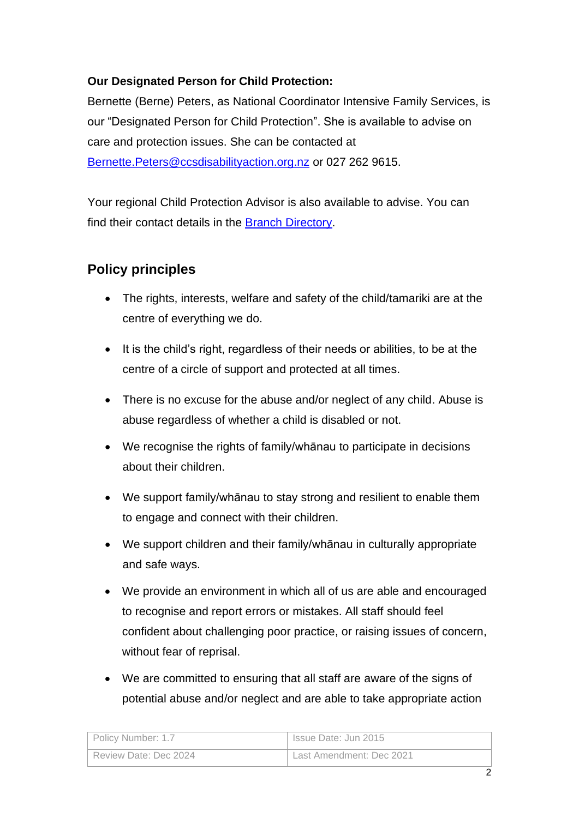#### **Our Designated Person for Child Protection:**

Bernette (Berne) Peters, as National Coordinator Intensive Family Services, is our "Designated Person for Child Protection". She is available to advise on care and protection issues. She can be contacted at [Bernette.Peters@ccsdisabilityaction.org.nz](mailto:Bernette.Peters@ccsdisabilityaction.org.nz) or 027 262 9615.

Your regional Child Protection Advisor is also available to advise. You can find their contact details in the [Branch Directory.](file://///NZCCS.CCS.ORG.NZ/Company/1National%20Documents/Branch%20Directory)

## **Policy principles**

- The rights, interests, welfare and safety of the child/tamariki are at the centre of everything we do.
- It is the child's right, regardless of their needs or abilities, to be at the centre of a circle of support and protected at all times.
- There is no excuse for the abuse and/or neglect of any child. Abuse is abuse regardless of whether a child is disabled or not.
- We recognise the rights of family/whānau to participate in decisions about their children.
- We support family/whānau to stay strong and resilient to enable them to engage and connect with their children.
- We support children and their family/whānau in culturally appropriate and safe ways.
- We provide an environment in which all of us are able and encouraged to recognise and report errors or mistakes. All staff should feel confident about challenging poor practice, or raising issues of concern, without fear of reprisal.
- We are committed to ensuring that all staff are aware of the signs of potential abuse and/or neglect and are able to take appropriate action

| Policy Number: 1.7    | Issue Date: Jun 2015     |
|-----------------------|--------------------------|
| Review Date: Dec 2024 | Last Amendment: Dec 2021 |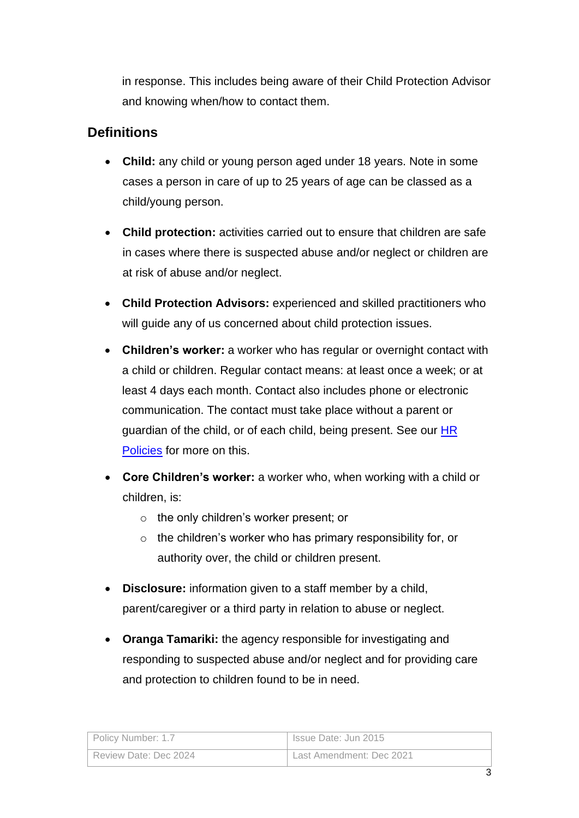in response. This includes being aware of their Child Protection Advisor and knowing when/how to contact them.

## **Definitions**

- **Child:** any child or young person aged under 18 years. Note in some cases a person in care of up to 25 years of age can be classed as a child/young person.
- **Child protection:** activities carried out to ensure that children are safe in cases where there is suspected abuse and/or neglect or children are at risk of abuse and/or neglect.
- **Child Protection Advisors:** experienced and skilled practitioners who will guide any of us concerned about child protection issues.
- **Children's worker:** a worker who has regular or overnight contact with a child or children. Regular contact means: at least once a week; or at least 4 days each month. Contact also includes phone or electronic communication. The contact must take place without a parent or guardian of the child, or of each child, being present. See our [HR](file://///NZCCS.CCS.ORG.NZ/Company/1National%20Documents/HR%20Policies%20Handbook/HR%20Policies.docx)  [Policies](file://///NZCCS.CCS.ORG.NZ/Company/1National%20Documents/HR%20Policies%20Handbook/HR%20Policies.docx) for more on this.
- **Core Children's worker:** a worker who, when working with a child or children, is:
	- o the only children's worker present; or
	- $\circ$  the children's worker who has primary responsibility for, or authority over, the child or children present.
- **Disclosure:** information given to a staff member by a child, parent/caregiver or a third party in relation to abuse or neglect.
- **Oranga Tamariki:** the agency responsible for investigating and responding to suspected abuse and/or neglect and for providing care and protection to children found to be in need.

| Policy Number: 1.7    | Issue Date: Jun 2015     |
|-----------------------|--------------------------|
| Review Date: Dec 2024 | Last Amendment: Dec 2021 |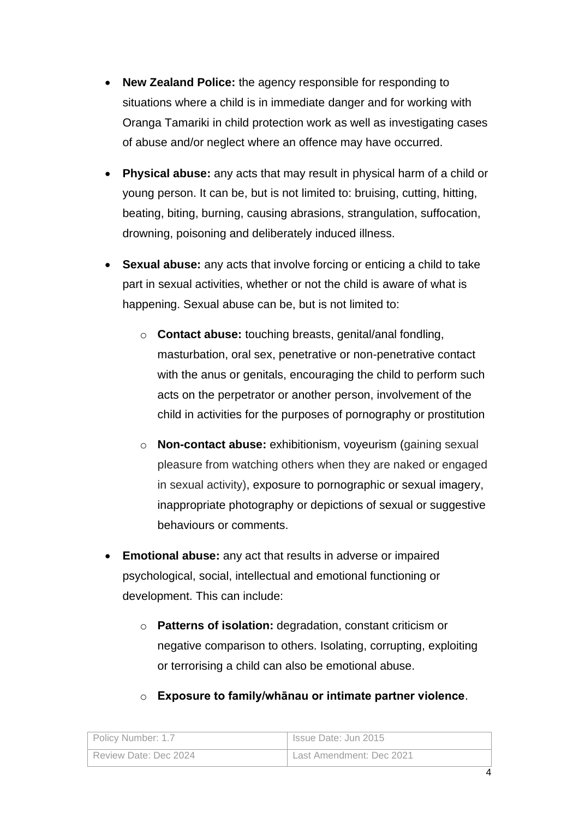- **New Zealand Police:** the agency responsible for responding to situations where a child is in immediate danger and for working with Oranga Tamariki in child protection work as well as investigating cases of abuse and/or neglect where an offence may have occurred.
- **Physical abuse:** any acts that may result in physical harm of a child or young person. It can be, but is not limited to: bruising, cutting, hitting, beating, biting, burning, causing abrasions, strangulation, suffocation, drowning, poisoning and deliberately induced illness.
- **Sexual abuse:** any acts that involve forcing or enticing a child to take part in sexual activities, whether or not the child is aware of what is happening. Sexual abuse can be, but is not limited to:
	- o **Contact abuse:** touching breasts, genital/anal fondling, masturbation, oral sex, penetrative or non-penetrative contact with the anus or genitals, encouraging the child to perform such acts on the perpetrator or another person, involvement of the child in activities for the purposes of pornography or prostitution
	- o **Non-contact abuse:** exhibitionism, voyeurism (gaining sexual pleasure from watching others when they are naked or engaged in sexual activity), exposure to pornographic or sexual imagery, inappropriate photography or depictions of sexual or suggestive behaviours or comments.
- **Emotional abuse:** any act that results in adverse or impaired psychological, social, intellectual and emotional functioning or development. This can include:
	- o **Patterns of isolation:** degradation, constant criticism or negative comparison to others. Isolating, corrupting, exploiting or terrorising a child can also be emotional abuse.

| Policy Number: 1.7    | Issue Date: Jun 2015     |
|-----------------------|--------------------------|
| Review Date: Dec 2024 | Last Amendment: Dec 2021 |

### o **Exposure to family/whānau or intimate partner violence**.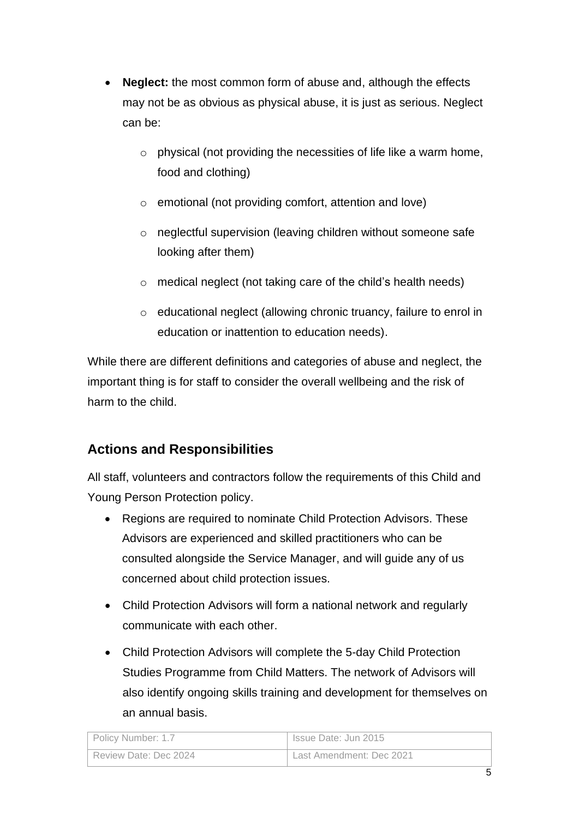- **Neglect:** the most common form of abuse and, although the effects may not be as obvious as physical abuse, it is just as serious. Neglect can be:
	- $\circ$  physical (not providing the necessities of life like a warm home, food and clothing)
	- o emotional (not providing comfort, attention and love)
	- o neglectful supervision (leaving children without someone safe looking after them)
	- o medical neglect (not taking care of the child's health needs)
	- o educational neglect (allowing chronic truancy, failure to enrol in education or inattention to education needs).

While there are different definitions and categories of abuse and neglect, the important thing is for staff to consider the overall wellbeing and the risk of harm to the child.

# **Actions and Responsibilities**

All staff, volunteers and contractors follow the requirements of this Child and Young Person Protection policy.

- Regions are required to nominate Child Protection Advisors. These Advisors are experienced and skilled practitioners who can be consulted alongside the Service Manager, and will guide any of us concerned about child protection issues.
- Child Protection Advisors will form a national network and regularly communicate with each other.
- Child Protection Advisors will complete the 5-day Child Protection Studies Programme from Child Matters. The network of Advisors will also identify ongoing skills training and development for themselves on an annual basis.

| Policy Number: 1.7    | Issue Date: Jun 2015     |
|-----------------------|--------------------------|
| Review Date: Dec 2024 | Last Amendment: Dec 2021 |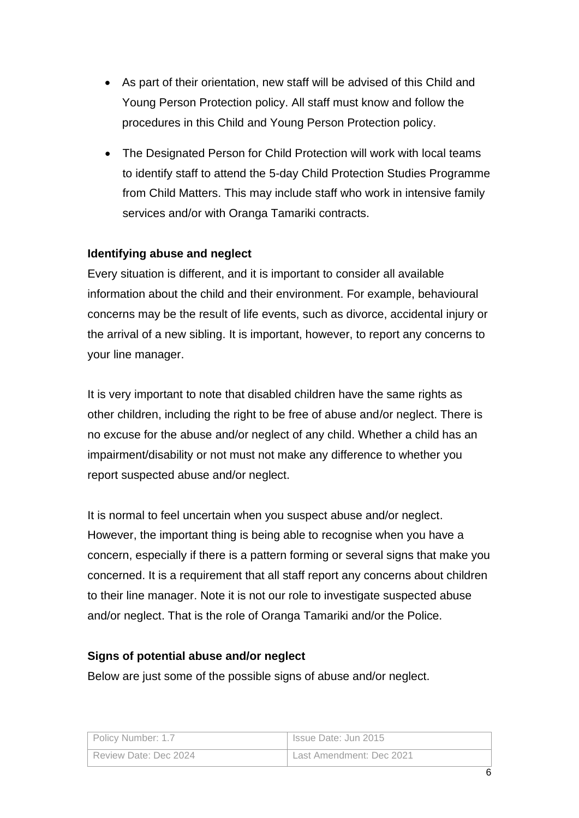- As part of their orientation, new staff will be advised of this Child and Young Person Protection policy. All staff must know and follow the procedures in this Child and Young Person Protection policy.
- The Designated Person for Child Protection will work with local teams to identify staff to attend the 5-day Child Protection Studies Programme from Child Matters. This may include staff who work in intensive family services and/or with Oranga Tamariki contracts.

#### **Identifying abuse and neglect**

Every situation is different, and it is important to consider all available information about the child and their environment. For example, behavioural concerns may be the result of life events, such as divorce, accidental injury or the arrival of a new sibling. It is important, however, to report any concerns to your line manager.

It is very important to note that disabled children have the same rights as other children, including the right to be free of abuse and/or neglect. There is no excuse for the abuse and/or neglect of any child. Whether a child has an impairment/disability or not must not make any difference to whether you report suspected abuse and/or neglect.

It is normal to feel uncertain when you suspect abuse and/or neglect. However, the important thing is being able to recognise when you have a concern, especially if there is a pattern forming or several signs that make you concerned. It is a requirement that all staff report any concerns about children to their line manager. Note it is not our role to investigate suspected abuse and/or neglect. That is the role of Oranga Tamariki and/or the Police.

#### **Signs of potential abuse and/or neglect**

Below are just some of the possible signs of abuse and/or neglect.

| Policy Number: 1.7    | Issue Date: Jun 2015     |
|-----------------------|--------------------------|
| Review Date: Dec 2024 | Last Amendment: Dec 2021 |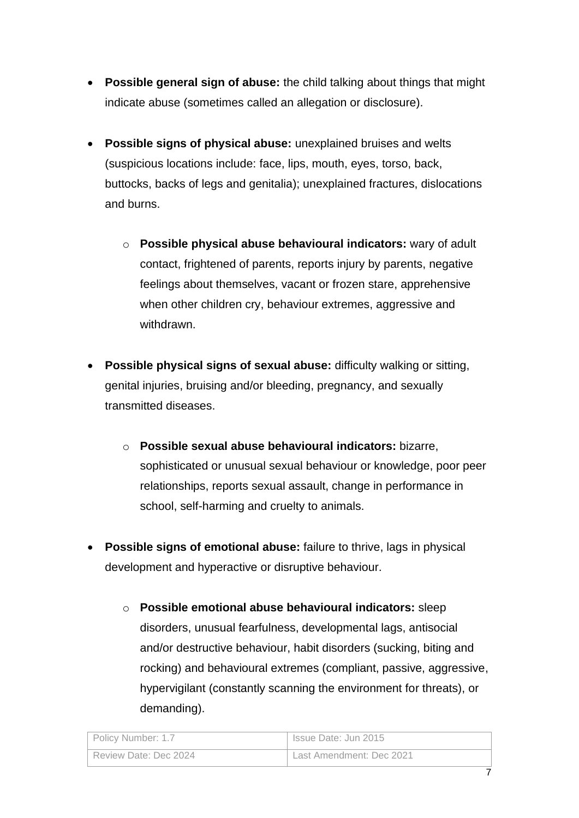- **Possible general sign of abuse:** the child talking about things that might indicate abuse (sometimes called an allegation or disclosure).
- **Possible signs of physical abuse:** unexplained bruises and welts (suspicious locations include: face, lips, mouth, eyes, torso, back, buttocks, backs of legs and genitalia); unexplained fractures, dislocations and burns.
	- o **Possible physical abuse behavioural indicators:** wary of adult contact, frightened of parents, reports injury by parents, negative feelings about themselves, vacant or frozen stare, apprehensive when other children cry, behaviour extremes, aggressive and withdrawn.
- **Possible physical signs of sexual abuse:** difficulty walking or sitting, genital injuries, bruising and/or bleeding, pregnancy, and sexually transmitted diseases.
	- o **Possible sexual abuse behavioural indicators:** bizarre, sophisticated or unusual sexual behaviour or knowledge, poor peer relationships, reports sexual assault, change in performance in school, self-harming and cruelty to animals.
- **Possible signs of emotional abuse:** failure to thrive, lags in physical development and hyperactive or disruptive behaviour.
	- o **Possible emotional abuse behavioural indicators:** sleep disorders, unusual fearfulness, developmental lags, antisocial and/or destructive behaviour, habit disorders (sucking, biting and rocking) and behavioural extremes (compliant, passive, aggressive, hypervigilant (constantly scanning the environment for threats), or demanding).

| Policy Number: 1.7    | Issue Date: Jun 2015     |
|-----------------------|--------------------------|
| Review Date: Dec 2024 | Last Amendment: Dec 2021 |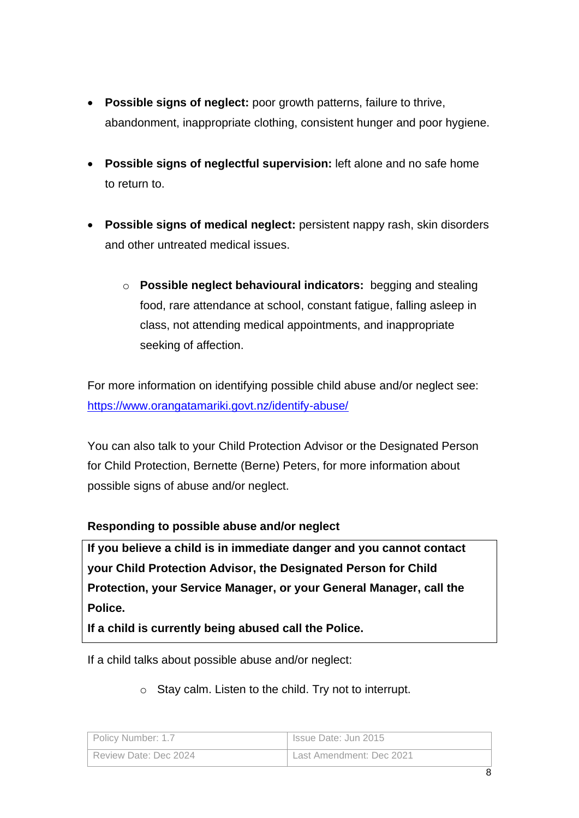- **Possible signs of neglect:** poor growth patterns, failure to thrive, abandonment, inappropriate clothing, consistent hunger and poor hygiene.
- **Possible signs of neglectful supervision:** left alone and no safe home to return to.
- **Possible signs of medical neglect:** persistent nappy rash, skin disorders and other untreated medical issues.
	- o **Possible neglect behavioural indicators:** begging and stealing food, rare attendance at school, constant fatigue, falling asleep in class, not attending medical appointments, and inappropriate seeking of affection.

For more information on identifying possible child abuse and/or neglect see: <https://www.orangatamariki.govt.nz/identify-abuse/>

You can also talk to your Child Protection Advisor or the Designated Person for Child Protection, Bernette (Berne) Peters, for more information about possible signs of abuse and/or neglect.

#### **Responding to possible abuse and/or neglect**

**If you believe a child is in immediate danger and you cannot contact your Child Protection Advisor, the Designated Person for Child Protection, your Service Manager, or your General Manager, call the Police.**

**If a child is currently being abused call the Police.**

If a child talks about possible abuse and/or neglect:

o Stay calm. Listen to the child. Try not to interrupt.

| Policy Number: 1.7    | Issue Date: Jun 2015     |
|-----------------------|--------------------------|
| Review Date: Dec 2024 | Last Amendment: Dec 2021 |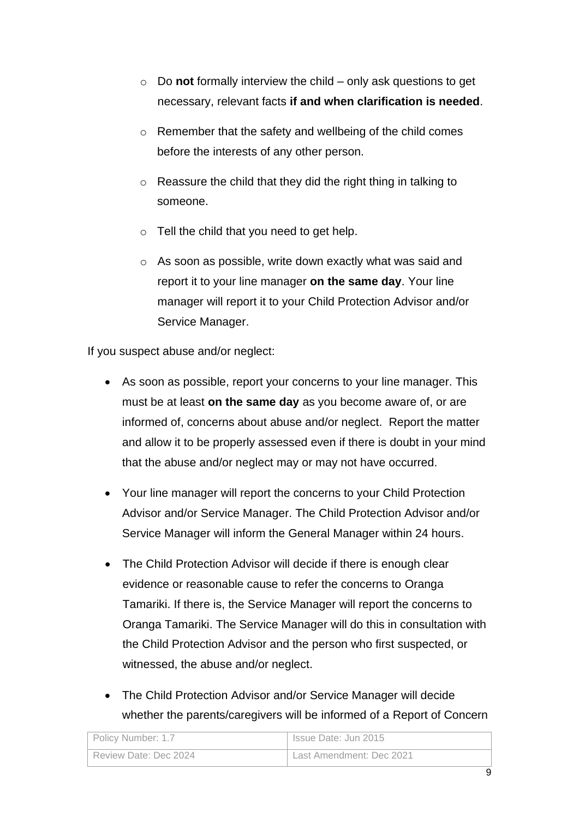- o Do **not** formally interview the child only ask questions to get necessary, relevant facts **if and when clarification is needed**.
- o Remember that the safety and wellbeing of the child comes before the interests of any other person.
- o Reassure the child that they did the right thing in talking to someone.
- $\circ$  Tell the child that you need to get help.
- o As soon as possible, write down exactly what was said and report it to your line manager **on the same day**. Your line manager will report it to your Child Protection Advisor and/or Service Manager.

If you suspect abuse and/or neglect:

- As soon as possible, report your concerns to your line manager. This must be at least **on the same day** as you become aware of, or are informed of, concerns about abuse and/or neglect. Report the matter and allow it to be properly assessed even if there is doubt in your mind that the abuse and/or neglect may or may not have occurred.
- Your line manager will report the concerns to your Child Protection Advisor and/or Service Manager. The Child Protection Advisor and/or Service Manager will inform the General Manager within 24 hours.
- The Child Protection Advisor will decide if there is enough clear evidence or reasonable cause to refer the concerns to Oranga Tamariki. If there is, the Service Manager will report the concerns to Oranga Tamariki. The Service Manager will do this in consultation with the Child Protection Advisor and the person who first suspected, or witnessed, the abuse and/or neglect.
- The Child Protection Advisor and/or Service Manager will decide whether the parents/caregivers will be informed of a Report of Concern

| Policy Number: 1.7    | Issue Date: Jun 2015     |
|-----------------------|--------------------------|
| Review Date: Dec 2024 | Last Amendment: Dec 2021 |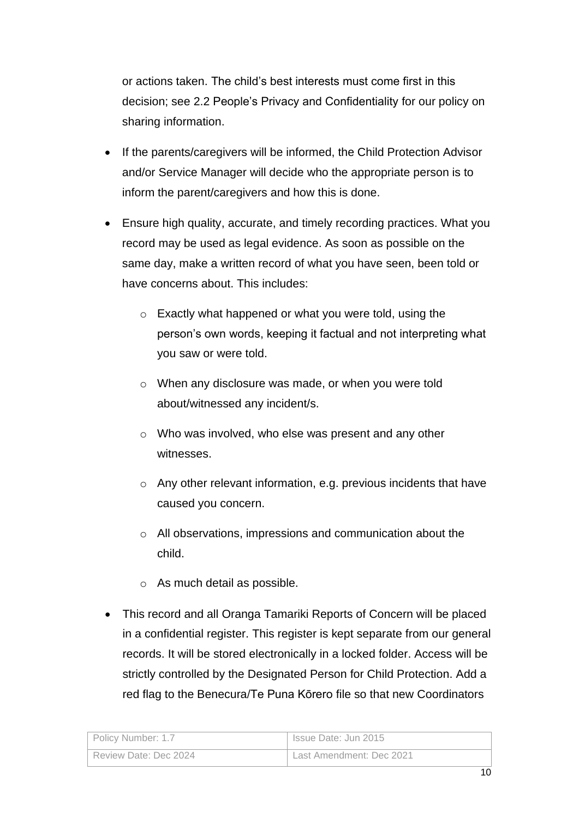or actions taken. The child's best interests must come first in this decision; see 2.2 People's Privacy and Confidentiality for our policy on sharing information.

- If the parents/caregivers will be informed, the Child Protection Advisor and/or Service Manager will decide who the appropriate person is to inform the parent/caregivers and how this is done.
- Ensure high quality, accurate, and timely recording practices. What you record may be used as legal evidence. As soon as possible on the same day, make a written record of what you have seen, been told or have concerns about. This includes:
	- o Exactly what happened or what you were told, using the person's own words, keeping it factual and not interpreting what you saw or were told.
	- o When any disclosure was made, or when you were told about/witnessed any incident/s.
	- o Who was involved, who else was present and any other witnesses.
	- o Any other relevant information, e.g. previous incidents that have caused you concern.
	- o All observations, impressions and communication about the child.
	- o As much detail as possible.
- This record and all Oranga Tamariki Reports of Concern will be placed in a confidential register. This register is kept separate from our general records. It will be stored electronically in a locked folder. Access will be strictly controlled by the Designated Person for Child Protection. Add a red flag to the Benecura/Te Puna Kōrero file so that new Coordinators

| Policy Number: 1.7    | Issue Date: Jun 2015     |
|-----------------------|--------------------------|
| Review Date: Dec 2024 | Last Amendment: Dec 2021 |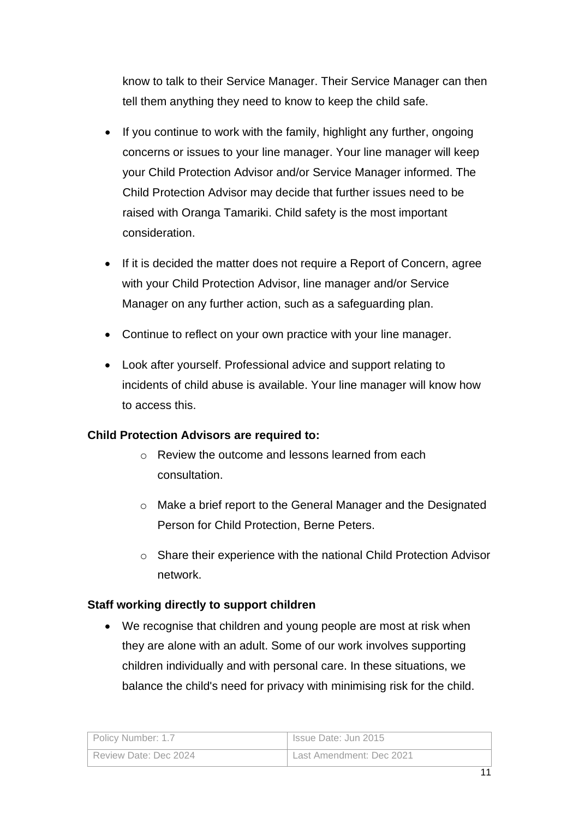know to talk to their Service Manager. Their Service Manager can then tell them anything they need to know to keep the child safe.

- If you continue to work with the family, highlight any further, ongoing concerns or issues to your line manager. Your line manager will keep your Child Protection Advisor and/or Service Manager informed. The Child Protection Advisor may decide that further issues need to be raised with Oranga Tamariki. Child safety is the most important consideration.
- If it is decided the matter does not require a Report of Concern, agree with your Child Protection Advisor, line manager and/or Service Manager on any further action, such as a safeguarding plan.
- Continue to reflect on your own practice with your line manager.
- Look after yourself. Professional advice and support relating to incidents of child abuse is available. Your line manager will know how to access this.

#### **Child Protection Advisors are required to:**

- $\circ$  Review the outcome and lessons learned from each consultation.
- o Make a brief report to the General Manager and the Designated Person for Child Protection, Berne Peters.
- o Share their experience with the national Child Protection Advisor network.

#### **Staff working directly to support children**

• We recognise that children and young people are most at risk when they are alone with an adult. Some of our work involves supporting children individually and with personal care. In these situations, we balance the child's need for privacy with minimising risk for the child.

| Policy Number: 1.7    | Issue Date: Jun 2015     |
|-----------------------|--------------------------|
| Review Date: Dec 2024 | Last Amendment: Dec 2021 |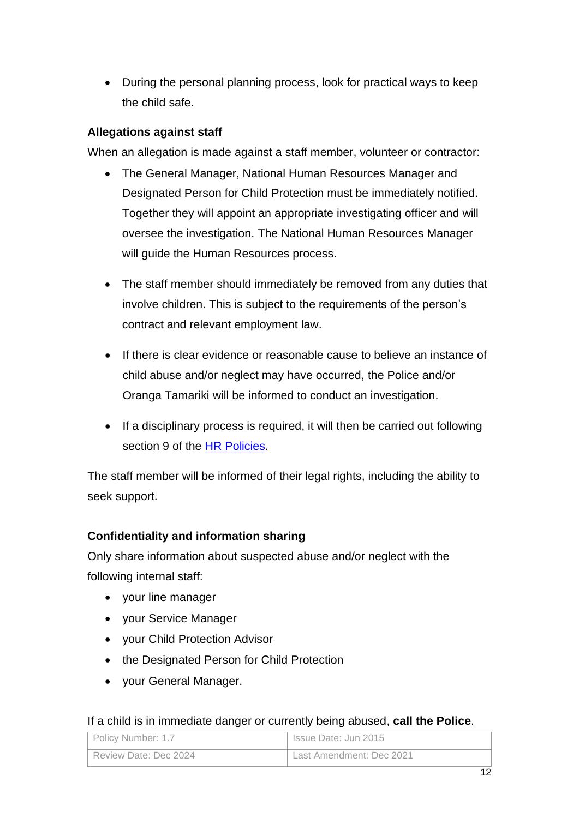• During the personal planning process, look for practical ways to keep the child safe.

#### **Allegations against staff**

When an allegation is made against a staff member, volunteer or contractor:

- The General Manager, National Human Resources Manager and Designated Person for Child Protection must be immediately notified. Together they will appoint an appropriate investigating officer and will oversee the investigation. The National Human Resources Manager will guide the Human Resources process.
- The staff member should immediately be removed from any duties that involve children. This is subject to the requirements of the person's contract and relevant employment law.
- If there is clear evidence or reasonable cause to believe an instance of child abuse and/or neglect may have occurred, the Police and/or Oranga Tamariki will be informed to conduct an investigation.
- If a disciplinary process is required, it will then be carried out following section 9 of the [HR Policies.](file://///NZCCS.CCS.ORG.NZ/Company/1National%20Documents/HR%20Policies%20Handbook/HR%20Policies.docx)

The staff member will be informed of their legal rights, including the ability to seek support.

#### **Confidentiality and information sharing**

Only share information about suspected abuse and/or neglect with the following internal staff:

- your line manager
- your Service Manager
- your Child Protection Advisor
- the Designated Person for Child Protection
- your General Manager.

#### If a child is in immediate danger or currently being abused, **call the Police**.

| Policy Number: 1.7    | Issue Date: Jun 2015     |
|-----------------------|--------------------------|
| Review Date: Dec 2024 | Last Amendment: Dec 2021 |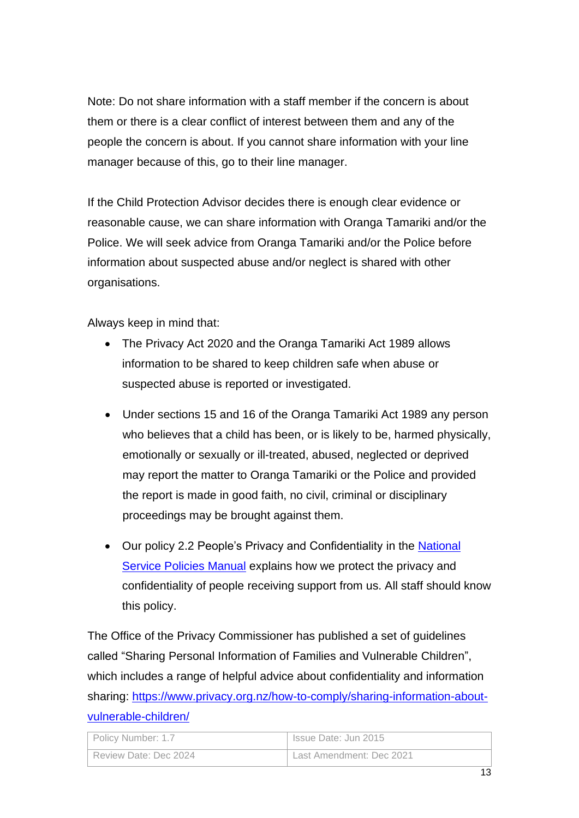Note: Do not share information with a staff member if the concern is about them or there is a clear conflict of interest between them and any of the people the concern is about. If you cannot share information with your line manager because of this, go to their line manager.

If the Child Protection Advisor decides there is enough clear evidence or reasonable cause, we can share information with Oranga Tamariki and/or the Police. We will seek advice from Oranga Tamariki and/or the Police before information about suspected abuse and/or neglect is shared with other organisations.

Always keep in mind that:

- The Privacy Act 2020 and the Oranga Tamariki Act 1989 allows information to be shared to keep children safe when abuse or suspected abuse is reported or investigated.
- Under sections 15 and 16 of the Oranga Tamariki Act 1989 any person who believes that a child has been, or is likely to be, harmed physically, emotionally or sexually or ill-treated, abused, neglected or deprived may report the matter to Oranga Tamariki or the Police and provided the report is made in good faith, no civil, criminal or disciplinary proceedings may be brought against them.
- Our policy 2.2 People's Privacy and Confidentiality in the National [Service Policies Manual](file://///NZCCS.CCS.ORG.NZ/Company/1National%20Documents/National%20Service%20Policies%20Manual) explains how we protect the privacy and confidentiality of people receiving support from us. All staff should know this policy.

The Office of the Privacy Commissioner has published a set of guidelines called "Sharing Personal Information of Families and Vulnerable Children", which includes a range of helpful advice about confidentiality and information sharing: [https://www.privacy.org.nz/how-to-comply/sharing-information-about](https://www.privacy.org.nz/how-to-comply/sharing-information-about-vulnerable-children/)[vulnerable-children/](https://www.privacy.org.nz/how-to-comply/sharing-information-about-vulnerable-children/)

| Policy Number: 1.7    | Issue Date: Jun 2015     |
|-----------------------|--------------------------|
| Review Date: Dec 2024 | Last Amendment: Dec 2021 |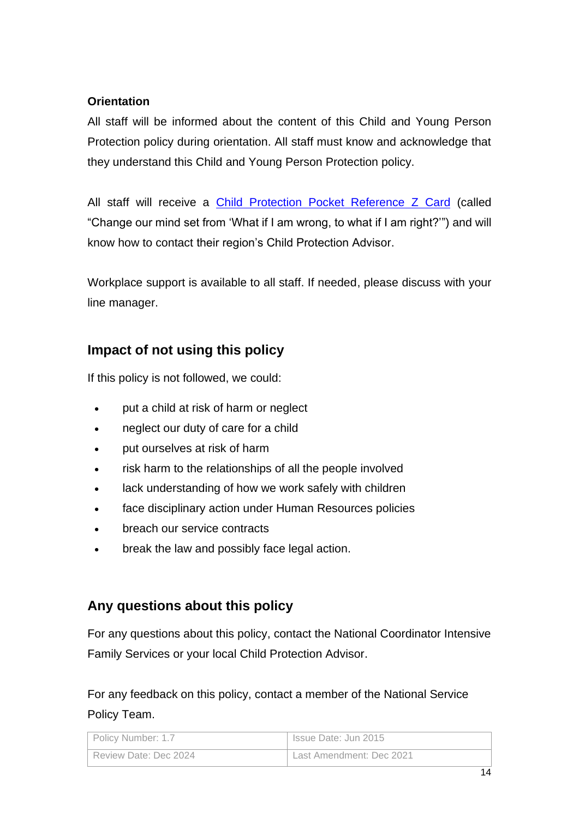#### **Orientation**

All staff will be informed about the content of this Child and Young Person Protection policy during orientation. All staff must know and acknowledge that they understand this Child and Young Person Protection policy.

All staff will receive a [Child Protection Pocket Reference Z Card](file://///NZCCS.CCS.ORG.NZ/Company/1National%20Documents/National%20Working%20Groups%20&%20Projects/Child%20Protection%20Advisors/Resources/Child%20Protection%20Pocket%20Reference.pdf) (called "Change our mind set from 'What if I am wrong, to what if I am right?'") and will know how to contact their region's Child Protection Advisor.

Workplace support is available to all staff. If needed, please discuss with your line manager.

## **Impact of not using this policy**

If this policy is not followed, we could:

- put a child at risk of harm or neglect
- neglect our duty of care for a child
- put ourselves at risk of harm
- risk harm to the relationships of all the people involved
- lack understanding of how we work safely with children
- face disciplinary action under Human Resources policies
- breach our service contracts
- break the law and possibly face legal action.

## **Any questions about this policy**

For any questions about this policy, contact the National Coordinator Intensive Family Services or your local Child Protection Advisor.

For any feedback on this policy, contact a member of the National Service Policy Team.

| Policy Number: 1.7    | Issue Date: Jun 2015     |
|-----------------------|--------------------------|
| Review Date: Dec 2024 | Last Amendment: Dec 2021 |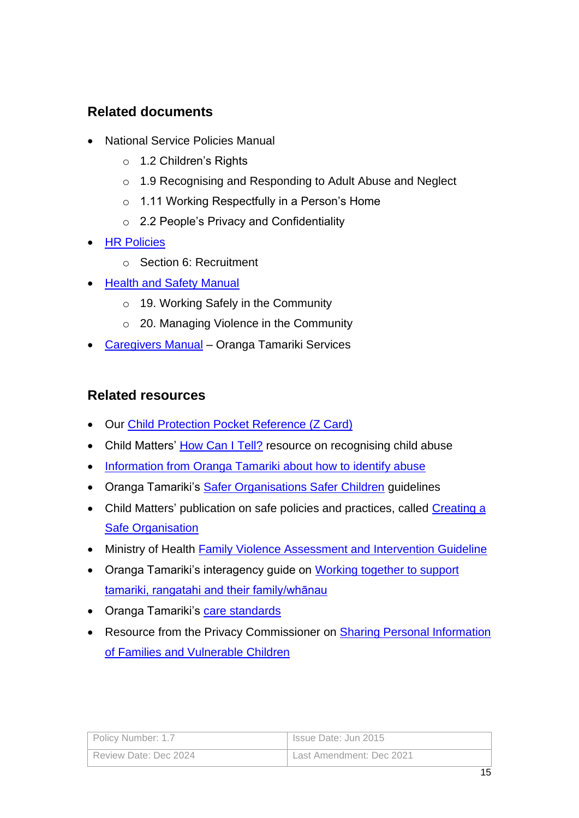## **Related documents**

- National Service Policies Manual
	- o 1.2 Children's Rights
	- o 1.9 Recognising and Responding to Adult Abuse and Neglect
	- o 1.11 Working Respectfully in a Person's Home
	- o 2.2 People's Privacy and Confidentiality
- [HR Policies](file://///NZCCS.CCS.ORG.NZ/Company/1National%20Documents/HR%20Policies%20Handbook/HR%20Policies.docx)
	- o Section 6: Recruitment
- [Health and Safety Manual](file://///NZCCS.CCS.ORG.NZ/Company/1National%20Documents/Health%20&%20Safety/Health%20and%20Safety%20Manual)
	- o 19. Working Safely in the Community
	- o 20. Managing Violence in the Community
- [Caregivers Manual](file://///NZCCS.CCS.ORG.NZ/Company/1National%20Documents/National%20Service%20Contracts/6.%20MCOT%20Foster&Shared%20Care/3.%20Caregiver%20Manual/) Oranga Tamariki Services

### **Related resources**

- Our [Child Protection Pocket Reference \(Z Card\)](file://///NZCCS.CCS.ORG.NZ/Company/1National%20Documents/National%20Working%20Groups%20&%20Projects/Child%20Protection%20Advisors/Resources/Child%20Protection%20Pocket%20Reference.pdf)
- Child Matters' [How Can I Tell?](https://www.childmatters.org.nz/downloads/20057-how-can-i-tell-04.pdf) resource on recognising child abuse
- [Information from Oranga Tamariki about how to identify abuse](https://www.orangatamariki.govt.nz/identify-abuse/)
- Oranga Tamariki's [Safer Organisations Safer Children](https://www.orangatamariki.govt.nz/assets/Uploads/Working-with-children/Childrens-act-requirements/Safer-Organisations-safer-children.pdf) guidelines
- Child Matters' publication on safe policies and practices, called Creating a **[Safe Organisation](file://///NZCCS.CCS.ORG.NZ/Company/1National%20Documents/National%20Working%20Groups%20&%20Projects/Child%20Protection%20Advisors/Resources/Child%20Protection%20Policy%20guidelines/Child%20Matters%20Publication%20-Creating%20a%20Safe%20Organisation.pdf)**
- Ministry of Health [Family Violence Assessment and Intervention Guideline](https://www.health.govt.nz/publication/family-violence-assessment-and-intervention-guideline-child-abuse-and-intimate-partner-violence)
- Oranga Tamariki's interagency quide on Working together to support [tamariki, rangatahi and their family/whānau](https://orangatamariki.govt.nz/assets/Uploads/Support-for-families/Support-programmes/Working-together-seminars/Working-together-guide-2021.pdf)
- Oranga Tamariki's [care standards](https://practice.orangatamariki.govt.nz/our-work/care/care-standards/)
- Resource from the Privacy Commissioner on Sharing Personal Information [of Families and Vulnerable Children](https://www.privacy.org.nz/how-to-comply/sharing-information-about-vulnerable-children/)

| Policy Number: 1.7    | Issue Date: Jun 2015     |
|-----------------------|--------------------------|
| Review Date: Dec 2024 | Last Amendment: Dec 2021 |